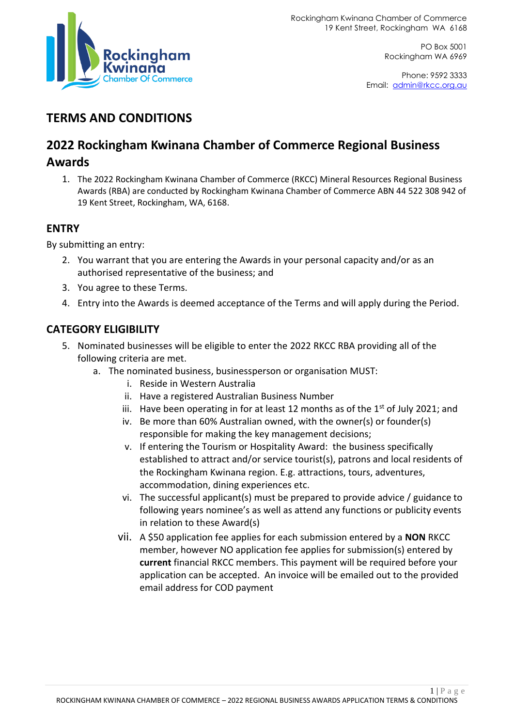

PO Box 5001 Rockingham WA 6969

Phone: 9592 3333 Email: [admin@rkcc.org.au](mailto:admin@rkcc.org.au)

# **TERMS AND CONDITIONS**

# **2022 Rockingham Kwinana Chamber of Commerce Regional Business**

### **Awards**

1. The 2022 Rockingham Kwinana Chamber of Commerce (RKCC) Mineral Resources Regional Business Awards (RBA) are conducted by Rockingham Kwinana Chamber of Commerce ABN 44 522 308 942 of 19 Kent Street, Rockingham, WA, 6168.

## **ENTRY**

By submitting an entry:

- 2. You warrant that you are entering the Awards in your personal capacity and/or as an authorised representative of the business; and
- 3. You agree to these Terms.
- 4. Entry into the Awards is deemed acceptance of the Terms and will apply during the Period.

### **CATEGORY ELIGIBILITY**

- 5. Nominated businesses will be eligible to enter the 2022 RKCC RBA providing all of the following criteria are met.
	- a. The nominated business, businessperson or organisation MUST:
		- i. Reside in Western Australia
		- ii. Have a registered Australian Business Number
		- iii. Have been operating in for at least 12 months as of the  $1<sup>st</sup>$  of July 2021; and
		- iv. Be more than 60% Australian owned, with the owner(s) or founder(s) responsible for making the key management decisions;
		- v. If entering the Tourism or Hospitality Award: the business specifically established to attract and/or service tourist(s), patrons and local residents of the Rockingham Kwinana region. E.g. attractions, tours, adventures, accommodation, dining experiences etc.
		- vi. The successful applicant(s) must be prepared to provide advice / guidance to following years nominee's as well as attend any functions or publicity events in relation to these Award(s)
		- vii. A \$50 application fee applies for each submission entered by a **NON** RKCC member, however NO application fee applies for submission(s) entered by **current** financial RKCC members. This payment will be required before your application can be accepted. An invoice will be emailed out to the provided email address for COD payment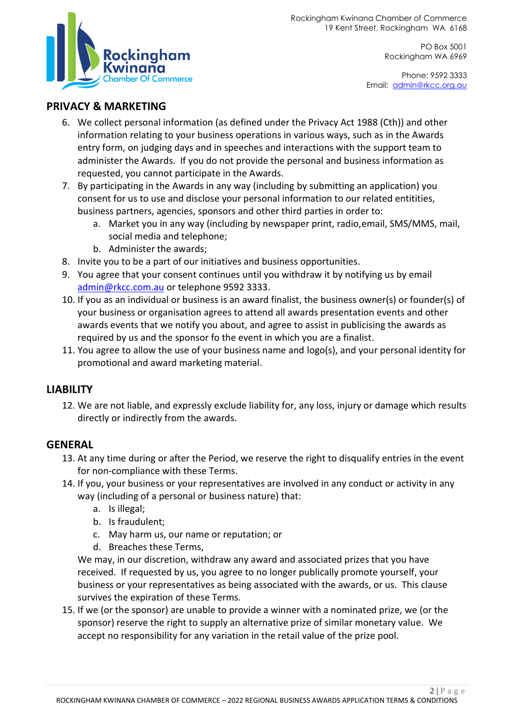PO Box 5001 Rockingham WA 6969

Phone: 9592 3333 Email: [admin@rkcc.org.au](mailto:admin@rkcc.org.au)



#### **PRIVACY & MARKETING**

- 6. We collect personal information (as defined under the Privacy Act 1988 (Cth)) and other information relating to your business operations in various ways, such as in the Awards entry form, on judging days and in speeches and interactions with the support team to administer the Awards. If you do not provide the personal and business information as requested, you cannot participate in the Awards.
- 7. By participating in the Awards in any way (including by submitting an application) you consent for us to use and disclose your personal information to our related entitities, business partners, agencies, sponsors and other third parties in order to:
	- a. Market you in any way (including by newspaper print, radio,email, SMS/MMS, mail, social media and telephone;
	- b. Administer the awards;
- 8. Invite you to be a part of our initiatives and business opportunities.
- 9. You agree that your consent continues until you withdraw it by notifying us by email [admin@rkcc.com.au](mailto:admin@rkcc.com.au) or telephone 9592 3333.
- 10. If you as an individual or business is an award finalist, the business owner(s) or founder(s) of your business or organisation agrees to attend all awards presentation events and other awards events that we notify you about, and agree to assist in publicising the awards as required by us and the sponsor fo the event in which you are a finalist.
- 11. You agree to allow the use of your business name and logo(s), and your personal identity for promotional and award marketing material.

#### **LIABILITY**

12. We are not liable, and expressly exclude liability for, any loss, injury or damage which results directly or indirectly from the awards.

#### **GENERAL**

- 13. At any time during or after the Period, we reserve the right to disqualify entries in the event for non-compliance with these Terms.
- 14. If you, your business or your representatives are involved in any conduct or activity in any way (including of a personal or business nature) that:
	- a. Is illegal;
	- b. Is fraudulent;
	- c. May harm us, our name or reputation; or
	- d. Breaches these Terms,

We may, in our discretion, withdraw any award and associated prizes that you have received. If requested by us, you agree to no longer publically promote yourself, your business or your representatives as being associated with the awards, or us. This clause survives the expiration of these Terms.

15. If we (or the sponsor) are unable to provide a winner with a nominated prize, we (or the sponsor) reserve the right to supply an alternative prize of similar monetary value. We accept no responsibility for any variation in the retail value of the prize pool.